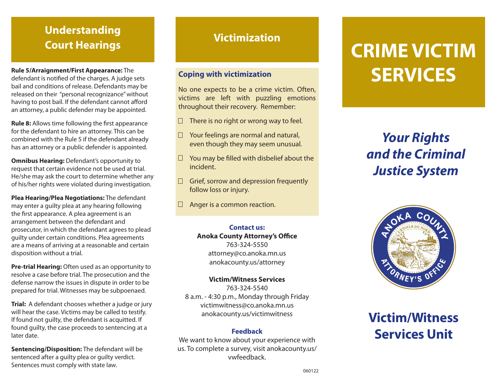## **Understanding Court Hearings Victimization**

#### **Rule 5/Arraignment/First Appearance:** The

defendant is notified of the charges. A judge sets bail and conditions of release. Defendants may be released on their "personal recognizance" without having to post bail. If the defendant cannot afford an attorney, a public defender may be appointed.

**Rule 8:** Allows time following the first appearance for the defendant to hire an attorney. This can be combined with the Rule 5 if the defendant already has an attorney or a public defender is appointed.

**Omnibus Hearing:** Defendant's opportunity to request that certain evidence not be used at trial. He/she may ask the court to determine whether any of his/her rights were violated during investigation.

**Plea Hearing/Plea Negotiations:** The defendant may enter a guilty plea at any hearing following the first appearance. A plea agreement is an arrangement between the defendant and prosecutor, in which the defendant agrees to plead guilty under certain conditions. Plea agreements are a means of arriving at a reasonable and certain disposition without a trial.

**Pre-trial Hearing:** Often used as an opportunity to resolve a case before trial. The prosecution and the defense narrow the issues in dispute in order to be prepared for trial. Witnesses may be subpoenaed.

**Trial:** A defendant chooses whether a judge or jury will hear the case. Victims may be called to testify. If found not guilty, the defendant is acquitted. If found guilty, the case proceeds to sentencing at a later date.

**Sentencing/Disposition:** The defendant will be sentenced after a guilty plea or guilty verdict. Sentences must comply with state law.

## **Coping with victimization**

No one expects to be a crime victim. Often, victims are left with puzzling emotions throughout their recovery. Remember:

- There is no right or wrong way to feel. П.
- Your feelings are normal and natural,  $\Box$ even though they may seem unusual.
- $\Box$  You may be filled with disbelief about the incident.
- $\Box$  Grief, sorrow and depression frequently follow loss or injury.
- Anger is a common reaction.  $\Box$

### **Contact us:**

**Anoka County Attorney's Office** 763-324-5550 attorney@co.anoka.mn.us anokacounty.us/attorney

#### **Victim/Witness Services**

763-324-5540 8 a.m. - 4:30 p.m., Monday through Friday victimwitness@co.anoka.mn.us anokacounty.us/victimwitness

#### **Feedback**

We want to know about your experience with us. To complete a survey, visit anokacounty.us/ vwfeedback.

# **CRIME VICTIM SERVICES**

## *Your Rights and the Criminal Justice System*



## **Victim/Witness Services Unit**